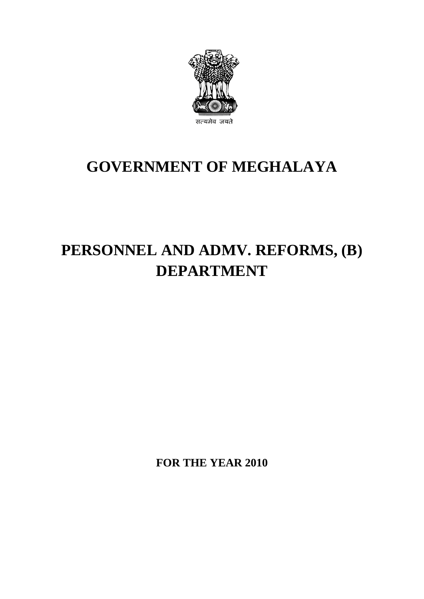

# **GOVERNMENT OF MEGHALAYA**

# **DEPARTMENT PERSONNEL AND ADMV. REFORMS, (B)**

**FOR THE YEAR 2010**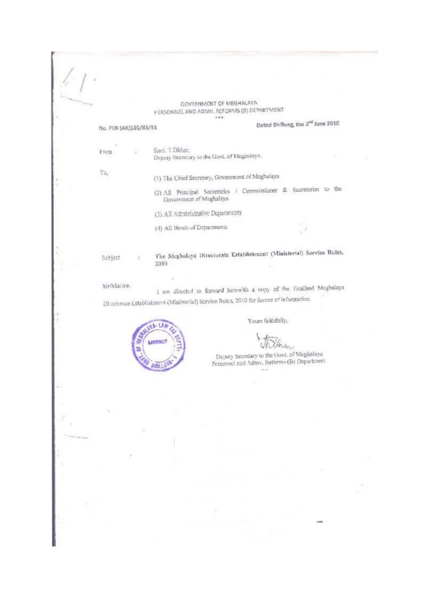|                       |   | <b>GOVERNMENT OF MEGHALAYA</b><br>PERSONNEL AND ADMV. REFORMS (B) DEPARTMENT |                                                                                                                                                               |  |
|-----------------------|---|------------------------------------------------------------------------------|---------------------------------------------------------------------------------------------------------------------------------------------------------------|--|
| No. PER (AR)105/83/51 |   |                                                                              | Dated Shillong, the 2 <sup>rd</sup> June 2010                                                                                                                 |  |
| From                  | x | Smri. T.Dkhar.<br>Deputy Secretary to the GovL of Meghalays.                 |                                                                                                                                                               |  |
| To,                   |   | (1) The Chief Secretary, Government of Meghalaya                             |                                                                                                                                                               |  |
|                       |   | Govornment of Meghalaya                                                      | (2) All Principal Secretaries / Commissioner & Secretaries to the                                                                                             |  |
|                       |   | (3) All Administrative Departments                                           |                                                                                                                                                               |  |
|                       |   | (4) All Heads of Departments                                                 |                                                                                                                                                               |  |
| Subject               |   | 2010                                                                         | The Meghalaya Directorate Establishment (Ministerial) Service Rules,                                                                                          |  |
| Sir/Madown.           |   |                                                                              | I am directed to forward herewith a copy of the linalised Meghalaya<br>Directorius Establishment (Ministerial) Scrvice Rules, 2010 for favour of information. |  |
|                       |   | <b>MPDAST</b><br>PHTLL                                                       | Yours faithfully.<br>Deputy Secretary to the Govi, of Meghalaya<br>Personnel and Admy, Reforms (B) Department.                                                |  |
|                       |   |                                                                              |                                                                                                                                                               |  |
|                       |   |                                                                              |                                                                                                                                                               |  |
|                       |   |                                                                              |                                                                                                                                                               |  |
|                       |   |                                                                              |                                                                                                                                                               |  |
|                       |   |                                                                              |                                                                                                                                                               |  |
|                       |   |                                                                              |                                                                                                                                                               |  |
|                       |   |                                                                              |                                                                                                                                                               |  |
|                       |   |                                                                              |                                                                                                                                                               |  |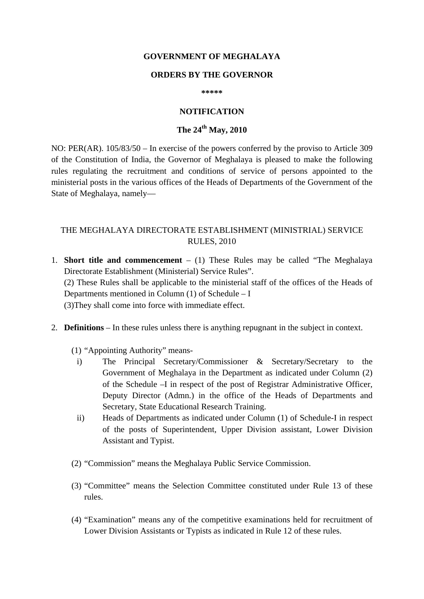# **GOVERNMENT OF MEGHALAYA**

#### **ORDERS BY THE GOVERNOR**

**\*\*\*\*\*** 

#### **NOTIFICATION**

# **The 24th May, 2010**

 NO: PER(AR). 105/83/50 – In exercise of the powers conferred by the proviso to Article 309 of the Constitution of India, the Governor of Meghalaya is pleased to make the following rules regulating the recruitment and conditions of service of persons appointed to the ministerial posts in the various offices of the Heads of Departments of the Government of the State of Meghalaya, namely—

# THE MEGHALAYA DIRECTORATE ESTABLISHMENT (MINISTRIAL) SERVICE RULES, 2010

- 1. **Short title and commencement**  $(1)$  These Rules may be called "The Meghalaya" Departments mentioned in Column (1) of Schedule – I Directorate Establishment (Ministerial) Service Rules". (2) These Rules shall be applicable to the ministerial staff of the offices of the Heads of (3)They shall come into force with immediate effect.
- 2. **Definitions**  In these rules unless there is anything repugnant in the subject in context.
	- (1) "Appointing Authority" means
		- i) The Principal Secretary/Commissioner & Secretary/Secretary to the Government of Meghalaya in the Department as indicated under Column (2) of the Schedule –I in respect of the post of Registrar Administrative Officer, Deputy Director (Admn.) in the office of the Heads of Departments and Secretary, State Educational Research Training.
	- ii) Heads of Departments as indicated under Column (1) of Schedule-I in respect of the posts of Superintendent, Upper Division assistant, Lower Division Assistant and Typist.
	- (2) "Commission" means the Meghalaya Public Service Commission.
	- (3) "Committee" means the Selection Committee constituted under Rule 13 of these rules.
	- (4) "Examination" means any of the competitive examinations held for recruitment of Lower Division Assistants or Typists as indicated in Rule 12 of these rules.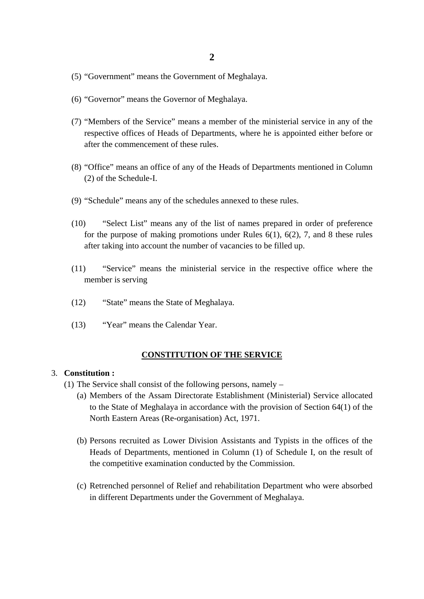- (5) "Government" means the Government of Meghalaya.
- (6) "Governor" means the Governor of Meghalaya.
- (7) "Members of the Service" means a member of the ministerial service in any of the respective offices of Heads of Departments, where he is appointed either before or after the commencement of these rules.
- (8) "Office" means an office of any of the Heads of Departments mentioned in Column (2) of the Schedule-I.
- (9) "Schedule" means any of the schedules annexed to these rules.
- (10) "Select List" means any of the list of names prepared in order of preference for the purpose of making promotions under Rules 6(1), 6(2), 7, and 8 these rules after taking into account the number of vacancies to be filled up.
- (11) "Service" means the ministerial service in the respective office where the member is serving
- (12) "State" means the State of Meghalaya.
- (13) "Year" means the Calendar Year.

#### **CONSTITUTION OF THE SERVICE**

# 3. **Constitution :**

- (1) The Service shall consist of the following persons, namely
	- (a) Members of the Assam Directorate Establishment (Ministerial) Service allocated to the State of Meghalaya in accordance with the provision of Section 64(1) of the North Eastern Areas (Re-organisation) Act, 1971.
	- (b) Persons recruited as Lower Division Assistants and Typists in the offices of the Heads of Departments, mentioned in Column (1) of Schedule I, on the result of the competitive examination conducted by the Commission.
	- (c) Retrenched personnel of Relief and rehabilitation Department who were absorbed in different Departments under the Government of Meghalaya.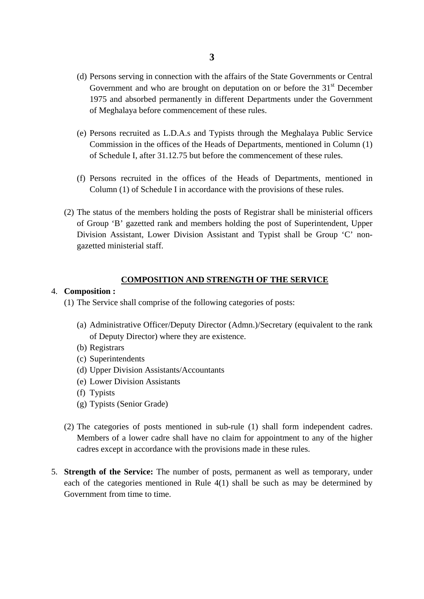- (d) Persons serving in connection with the affairs of the State Governments or Central Government and who are brought on deputation on or before the  $31<sup>st</sup>$  December 1975 and absorbed permanently in different Departments under the Government of Meghalaya before commencement of these rules.
- (e) Persons recruited as L.D.A.s and Typists through the Meghalaya Public Service Commission in the offices of the Heads of Departments, mentioned in Column (1) of Schedule I, after 31.12.75 but before the commencement of these rules.
- (f) Persons recruited in the offices of the Heads of Departments, mentioned in Column (1) of Schedule I in accordance with the provisions of these rules.
- (2) The status of the members holding the posts of Registrar shall be ministerial officers of Group 'B' gazetted rank and members holding the post of Superintendent, Upper Division Assistant, Lower Division Assistant and Typist shall be Group 'C' nongazetted ministerial staff.

#### **COMPOSITION AND STRENGTH OF THE SERVICE**

#### 4. **Composition :**

(1) The Service shall comprise of the following categories of posts:

- (a) Administrative Officer/Deputy Director (Admn.)/Secretary (equivalent to the rank of Deputy Director) where they are existence.
- (b) Registrars
- (c) Superintendents
- (d) Upper Division Assistants/Accountants
- (e) Lower Division Assistants
- (f) Typists
- (f) Typists (g) Typists (Senior Grade)
- (2) The categories of posts mentioned in sub-rule (1) shall form independent cadres. Members of a lower cadre shall have no claim for appointment to any of the higher cadres except in accordance with the provisions made in these rules.
- 5. **Strength of the Service:** The number of posts, permanent as well as temporary, under each of the categories mentioned in Rule 4(1) shall be such as may be determined by Government from time to time.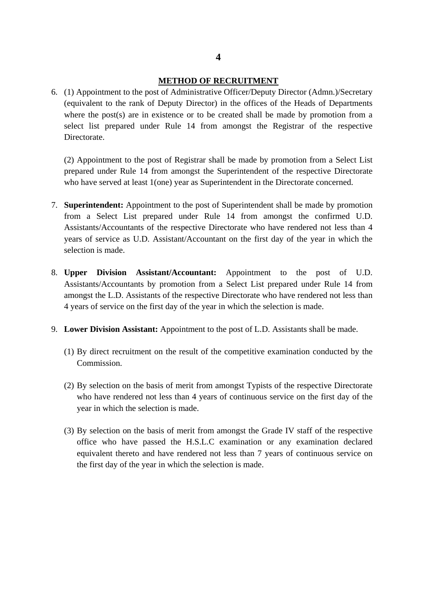# **METHOD OF RECRUITMENT**

 (equivalent to the rank of Deputy Director) in the offices of the Heads of Departments where the post(s) are in existence or to be created shall be made by promotion from a 6. (1) Appointment to the post of Administrative Officer/Deputy Director (Admn.)/Secretary select list prepared under Rule 14 from amongst the Registrar of the respective Directorate.

(2) Appointment to the post of Registrar shall be made by promotion from a Select List prepared under Rule 14 from amongst the Superintendent of the respective Directorate who have served at least 1(one) year as Superintendent in the Directorate concerned.

- 7. **Superintendent:** Appointment to the post of Superintendent shall be made by promotion from a Select List prepared under Rule 14 from amongst the confirmed U.D. Assistants/Accountants of the respective Directorate who have rendered not less than 4 years of service as U.D. Assistant/Accountant on the first day of the year in which the selection is made.
- 4 years of service on the first day of the year in which the selection is made. 8. **Upper Division Assistant/Accountant:** Appointment to the post of U.D. Assistants/Accountants by promotion from a Select List prepared under Rule 14 from amongst the L.D. Assistants of the respective Directorate who have rendered not less than
- 9. **Lower Division Assistant:** Appointment to the post of L.D. Assistants shall be made.
	- (1) By direct recruitment on the result of the competitive examination conducted by the Commission.
	- (2) By selection on the basis of merit from amongst Typists of the respective Directorate who have rendered not less than 4 years of continuous service on the first day of the year in which the selection is made.
	- the first day of the year in which the selection is made. (3) By selection on the basis of merit from amongst the Grade IV staff of the respective office who have passed the H.S.L.C examination or any examination declared equivalent thereto and have rendered not less than 7 years of continuous service on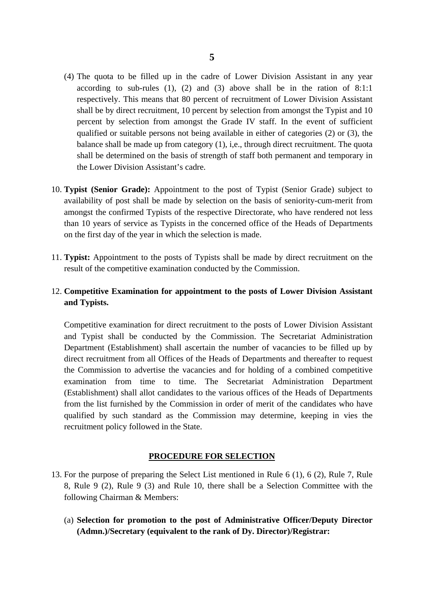- (4) The quota to be filled up in the cadre of Lower Division Assistant in any year according to sub-rules (1), (2) and (3) above shall be in the ration of 8:1:1 respectively. This means that 80 percent of recruitment of Lower Division Assistant shall be by direct recruitment, 10 percent by selection from amongst the Typist and 10 percent by selection from amongst the Grade IV staff. In the event of sufficient qualified or suitable persons not being available in either of categories (2) or (3), the balance shall be made up from category  $(1)$ , i.e., through direct recruitment. The quota shall be determined on the basis of strength of staff both permanent and temporary in the Lower Division Assistant's cadre.
- 10. **Typist (Senior Grade):** Appointment to the post of Typist (Senior Grade) subject to availability of post shall be made by selection on the basis of seniority-cum-merit from amongst the confirmed Typists of the respective Directorate, who have rendered not less than 10 years of service as Typists in the concerned office of the Heads of Departments on the first day of the year in which the selection is made.
- result of the competitive examination conducted by the Commission. 11. **Typist:** Appointment to the posts of Typists shall be made by direct recruitment on the

# 12. **Competitive Examination for appointment to the posts of Lower Division Assistant and Typists.**

 Competitive examination for direct recruitment to the posts of Lower Division Assistant direct recruitment from all Offices of the Heads of Departments and thereafter to request qualified by such standard as the Commission may determine, keeping in vies the and Typist shall be conducted by the Commission. The Secretariat Administration Department (Establishment) shall ascertain the number of vacancies to be filled up by the Commission to advertise the vacancies and for holding of a combined competitive examination from time to time. The Secretariat Administration Department (Establishment) shall allot candidates to the various offices of the Heads of Departments from the list furnished by the Commission in order of merit of the candidates who have recruitment policy followed in the State.

# **PROCEDURE FOR SELECTION**

- 13. For the purpose of preparing the Select List mentioned in Rule 6 (1), 6 (2), Rule 7, Rule 8, Rule 9 (2), Rule 9 (3) and Rule 10, there shall be a Selection Committee with the following Chairman & Members:
	- (a) **Selection for promotion to the post of Administrative Officer/Deputy Director (Admn.)/Secretary (equivalent to the rank of Dy. Director)/Registrar:**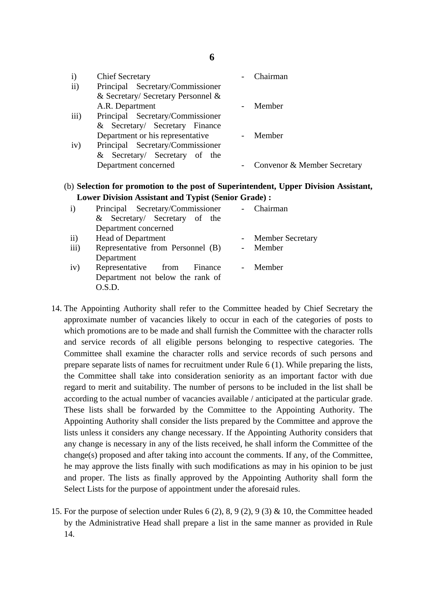| $\mathbf{i}$ | <b>Chief Secretary</b>             | Chairman                    |
|--------------|------------------------------------|-----------------------------|
| $\rm ii)$    | Principal Secretary/Commissioner   |                             |
|              | & Secretary/ Secretary Personnel & |                             |
|              | A.R. Department                    | Member                      |
| iii)         | Principal Secretary/Commissioner   |                             |
|              | & Secretary/ Secretary Finance     |                             |
|              | Department or his representative   | - Member                    |
| iv)          | Principal Secretary/Commissioner   |                             |
|              | & Secretary/ Secretary of the      |                             |
|              | Department concerned               | Convenor & Member Secretary |
|              |                                    |                             |

# (b) **Selection for promotion to the post of Superintendent, Upper Division Assistant, Lower Division Assistant and Typist (Senior Grade) :**

| $\mathbf{i}$ | Principal Secretary/Commissioner<br>& Secretary/ Secretary of the | - Chairman         |
|--------------|-------------------------------------------------------------------|--------------------|
|              | Department concerned                                              |                    |
| $\rm ii)$    | <b>Head of Department</b>                                         | - Member Secretary |
| iii)         | Representative from Personnel (B)                                 | - Member           |
|              | Department                                                        |                    |
| iv)          | Representative from<br>Finance                                    | - Member           |
|              | Department not below the rank of                                  |                    |
|              | O.S.D.                                                            |                    |

- regard to merit and suitability. The number of persons to be included in the list shall be according to the actual number of vacancies available / anticipated at the particular grade. 14. The Appointing Authority shall refer to the Committee headed by Chief Secretary the approximate number of vacancies likely to occur in each of the categories of posts to which promotions are to be made and shall furnish the Committee with the character rolls and service records of all eligible persons belonging to respective categories. The Committee shall examine the character rolls and service records of such persons and prepare separate lists of names for recruitment under Rule 6 (1). While preparing the lists, the Committee shall take into consideration seniority as an important factor with due These lists shall be forwarded by the Committee to the Appointing Authority. The Appointing Authority shall consider the lists prepared by the Committee and approve the lists unless it considers any change necessary. If the Appointing Authority considers that any change is necessary in any of the lists received, he shall inform the Committee of the change(s) proposed and after taking into account the comments. If any, of the Committee, he may approve the lists finally with such modifications as may in his opinion to be just and proper. The lists as finally approved by the Appointing Authority shall form the Select Lists for the purpose of appointment under the aforesaid rules.
- 15. For the purpose of selection under Rules 6 (2), 8, 9 (2), 9 (3) & 10, the Committee headed by the Administrative Head shall prepare a list in the same manner as provided in Rule 14.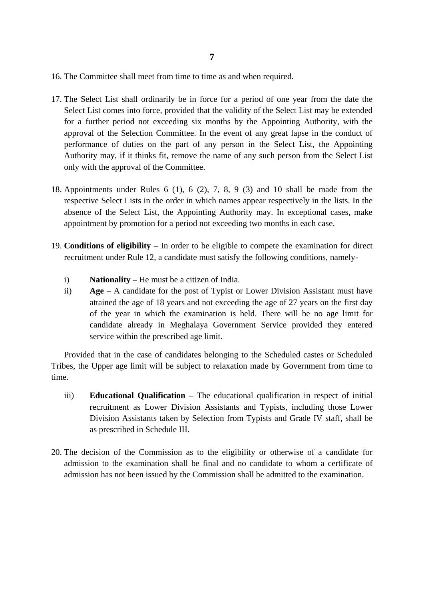- 16. The Committee shall meet from time to time as and when required.
- 17. The Select List shall ordinarily be in force for a period of one year from the date the Select List comes into force, provided that the validity of the Select List may be extended for a further period not exceeding six months by the Appointing Authority, with the approval of the Selection Committee. In the event of any great lapse in the conduct of performance of duties on the part of any person in the Select List, the Appointing Authority may, if it thinks fit, remove the name of any such person from the Select List only with the approval of the Committee.
- 18. Appointments under Rules 6 (1), 6 (2), 7, 8, 9 (3) and 10 shall be made from the respective Select Lists in the order in which names appear respectively in the lists. In the absence of the Select List, the Appointing Authority may. In exceptional cases, make appointment by promotion for a period not exceeding two months in each case.
- 19. **Conditions of eligibility**  In order to be eligible to compete the examination for direct recruitment under Rule 12, a candidate must satisfy the following conditions, namely
	- i) **Nationality** He must be a citizen of India.
	- service within the prescribed age limit. ii) **Age** – A candidate for the post of Typist or Lower Division Assistant must have attained the age of 18 years and not exceeding the age of 27 years on the first day of the year in which the examination is held. There will be no age limit for candidate already in Meghalaya Government Service provided they entered

 Tribes, the Upper age limit will be subject to relaxation made by Government from time to Provided that in the case of candidates belonging to the Scheduled castes or Scheduled time.

- iii) **Educational Qualification** The educational qualification in respect of initial recruitment as Lower Division Assistants and Typists, including those Lower Division Assistants taken by Selection from Typists and Grade IV staff, shall be as prescribed in Schedule III.
- 20. The decision of the Commission as to the eligibility or otherwise of a candidate for admission to the examination shall be final and no candidate to whom a certificate of admission has not been issued by the Commission shall be admitted to the examination.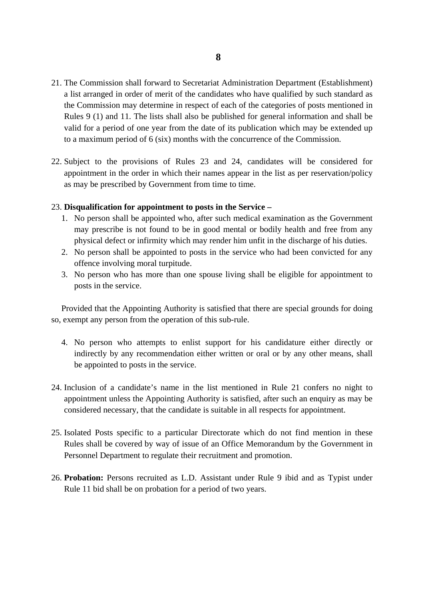- to a maximum period of 6 (six) months with the concurrence of the Commission. 21. The Commission shall forward to Secretariat Administration Department (Establishment) a list arranged in order of merit of the candidates who have qualified by such standard as the Commission may determine in respect of each of the categories of posts mentioned in Rules 9 (1) and 11. The lists shall also be published for general information and shall be valid for a period of one year from the date of its publication which may be extended up
- 22. Subject to the provisions of Rules 23 and 24, candidates will be considered for appointment in the order in which their names appear in the list as per reservation/policy as may be prescribed by Government from time to time.

# 23. **Disqualification for appointment to posts in the Service –**

- 1. No person shall be appointed who, after such medical examination as the Government may prescribe is not found to be in good mental or bodily health and free from any physical defect or infirmity which may render him unfit in the discharge of his duties.
- 2. No person shall be appointed to posts in the service who had been convicted for any offence involving moral turpitude.
- 3. No person who has more than one spouse living shall be eligible for appointment to posts in the service.

 so, exempt any person from the operation of this sub-rule. Provided that the Appointing Authority is satisfied that there are special grounds for doing

- 4. No person who attempts to enlist support for his candidature either directly or indirectly by any recommendation either written or oral or by any other means, shall be appointed to posts in the service.
- 24. Inclusion of a candidate's name in the list mentioned in Rule 21 confers no night to appointment unless the Appointing Authority is satisfied, after such an enquiry as may be considered necessary, that the candidate is suitable in all respects for appointment.
- 25. Isolated Posts specific to a particular Directorate which do not find mention in these Rules shall be covered by way of issue of an Office Memorandum by the Government in Personnel Department to regulate their recruitment and promotion.
- 26. **Probation:** Persons recruited as L.D. Assistant under Rule 9 ibid and as Typist under Rule 11 bid shall be on probation for a period of two years.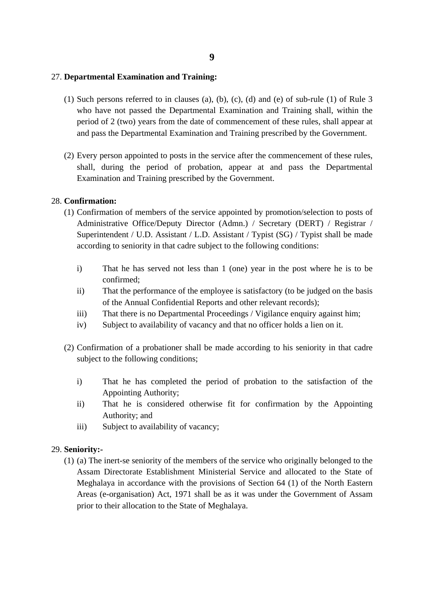# **9**

# 27. **Departmental Examination and Training:**

- (1) Such persons referred to in clauses (a), (b), (c), (d) and (e) of sub-rule (1) of Rule 3 who have not passed the Departmental Examination and Training shall, within the period of 2 (two) years from the date of commencement of these rules, shall appear at and pass the Departmental Examination and Training prescribed by the Government.
- (2) Every person appointed to posts in the service after the commencement of these rules, shall, during the period of probation, appear at and pass the Departmental Examination and Training prescribed by the Government.

# 28. **Confirmation:**

- (1) Confirmation of members of the service appointed by promotion/selection to posts of Administrative Office/Deputy Director (Admn.) / Secretary (DERT) / Registrar / Superintendent / U.D. Assistant / L.D. Assistant / Typist (SG) / Typist shall be made according to seniority in that cadre subject to the following conditions:
	- i) That he has served not less than 1 (one) year in the post where he is to be confirmed;
	- ii) That the performance of the employee is satisfactory (to be judged on the basis of the Annual Confidential Reports and other relevant records);
	- iii) That there is no Departmental Proceedings / Vigilance enquiry against him;
	- iv) Subject to availability of vacancy and that no officer holds a lien on it.
- (2) Confirmation of a probationer shall be made according to his seniority in that cadre subject to the following conditions;
	- i) That he has completed the period of probation to the satisfaction of the Appointing Authority;
	- ii) That he is considered otherwise fit for confirmation by the Appointing Authority; and
	- iii) Subject to availability of vacancy;

# 29. **Seniority:**

 Assam Directorate Establishment Ministerial Service and allocated to the State of (1) (a) The inert-se seniority of the members of the service who originally belonged to the Meghalaya in accordance with the provisions of Section 64 (1) of the North Eastern Areas (e-organisation) Act, 1971 shall be as it was under the Government of Assam prior to their allocation to the State of Meghalaya.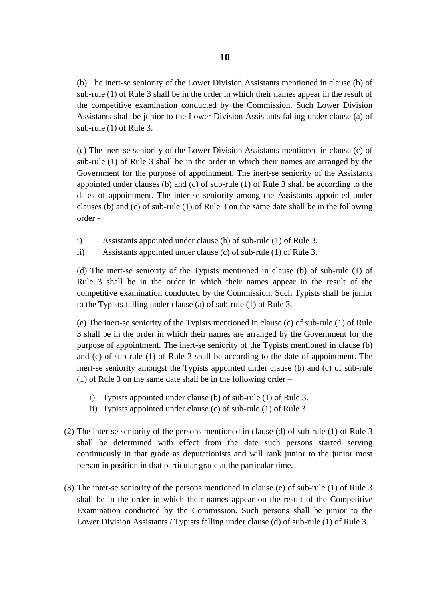(b) The inert-se seniority of the Lower Division Assistants mentioned in clause (b) of sub-rule (1) of Rule 3 shall be in the order in which their names appear in the result of sub-rule (1) of Rule 3. the competitive examination conducted by the Commission. Such Lower Division Assistants shall be junior to the Lower Division Assistants falling under clause (a) of

 order (c) The inert-se seniority of the Lower Division Assistants mentioned in clause (c) of sub-rule (1) of Rule 3 shall be in the order in which their names are arranged by the Government for the purpose of appointment. The inert-se seniority of the Assistants appointed under clauses (b) and (c) of sub-rule (1) of Rule 3 shall be according to the dates of appointment. The inter-se seniority among the Assistants appointed under clauses (b) and (c) of sub-rule (1) of Rule 3 on the same date shall be in the following

- i) Assistants appointed under clause (b) of sub-rule (1) of Rule 3.
- ii) Assistants appointed under clause (c) of sub-rule (1) of Rule 3.

 competitive examination conducted by the Commission. Such Typists shall be junior (d) The inert-se seniority of the Typists mentioned in clause (b) of sub-rule (1) of Rule 3 shall be in the order in which their names appear in the result of the to the Typists falling under clause (a) of sub-rule (1) of Rule 3.

 3 shall be in the order in which their names are arranged by the Government for the and (c) of sub-rule (1) of Rule 3 shall be according to the date of appointment. The (1) of Rule 3 on the same date shall be in the following order – (e) The inert-se seniority of the Typists mentioned in clause (c) of sub-rule (1) of Rule purpose of appointment. The inert-se seniority of the Typists mentioned in clause (b) inert-se seniority amongst the Typists appointed under clause (b) and (c) of sub-rule

- i) Typists appointed under clause (b) of sub-rule (1) of Rule 3.
- ii) Typists appointed under clause (c) of sub-rule (1) of Rule 3.
- continuously in that grade as deputationists and will rank junior to the junior most (2) The inter-se seniority of the persons mentioned in clause (d) of sub-rule (1) of Rule 3 shall be determined with effect from the date such persons started serving person in position in that particular grade at the particular time.
- (3) The inter-se seniority of the persons mentioned in clause (e) of sub-rule (1) of Rule 3 Examination conducted by the Commission. Such persons shall be junior to the shall be in the order in which their names appear on the result of the Competitive Lower Division Assistants / Typists falling under clause (d) of sub-rule (1) of Rule 3.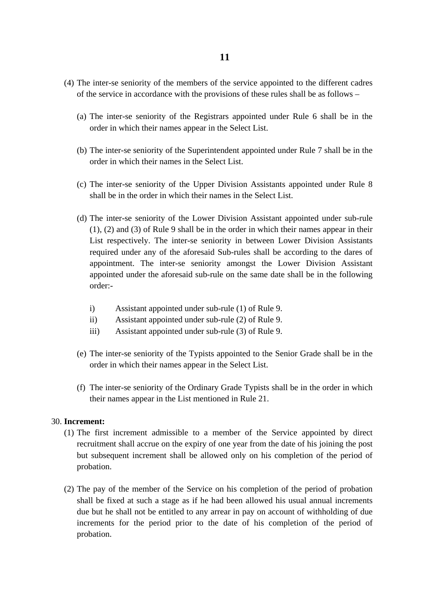- of the service in accordance with the provisions of these rules shall be as follows (4) The inter-se seniority of the members of the service appointed to the different cadres
	- of the service in accordance with the provisions of these rules shall be as follows (a) The inter-se seniority of the Registrars appointed under Rule 6 shall be in the order in which their names appear in the Select List.
	- (b) The inter-se seniority of the Superintendent appointed under Rule 7 shall be in the order in which their names in the Select List.
	- shall be in the order in which their names in the Select List. (c) The inter-se seniority of the Upper Division Assistants appointed under Rule 8
	- List respectively. The inter-se seniority in between Lower Division Assistants order: (d) The inter-se seniority of the Lower Division Assistant appointed under sub-rule (1), (2) and (3) of Rule 9 shall be in the order in which their names appear in their required under any of the aforesaid Sub-rules shall be according to the dares of appointment. The inter-se seniority amongst the Lower Division Assistant appointed under the aforesaid sub-rule on the same date shall be in the following
		- i) Assistant appointed under sub-rule (1) of Rule 9.
		- ii) Assistant appointed under sub-rule (2) of Rule 9.
		- iii) Assistant appointed under sub-rule (3) of Rule 9.
	- (e) The inter-se seniority of the Typists appointed to the Senior Grade shall be in the order in which their names appear in the Select List.
	- (f) The inter-se seniority of the Ordinary Grade Typists shall be in the order in which their names appear in the List mentioned in Rule 21.

#### 30. **Increment:**

- (1) The first increment admissible to a member of the Service appointed by direct recruitment shall accrue on the expiry of one year from the date of his joining the post but subsequent increment shall be allowed only on his completion of the period of probation.
- (2) The pay of the member of the Service on his completion of the period of probation shall be fixed at such a stage as if he had been allowed his usual annual increments due but he shall not be entitled to any arrear in pay on account of withholding of due increments for the period prior to the date of his completion of the period of probation.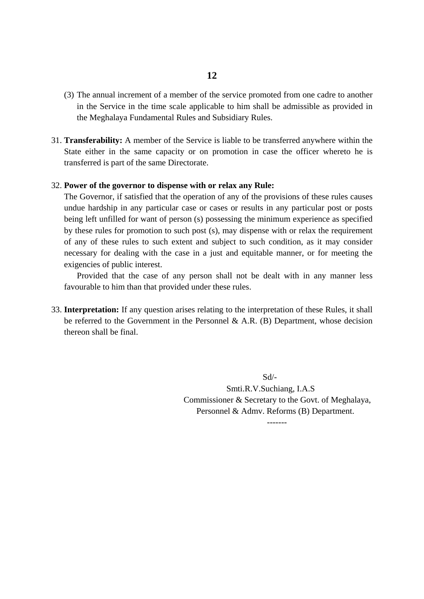**12**

- in the Service in the time scale applicable to him shall be admissible as provided in (3) The annual increment of a member of the service promoted from one cadre to another the Meghalaya Fundamental Rules and Subsidiary Rules.
- 31. **Transferability:** A member of the Service is liable to be transferred anywhere within the State either in the same capacity or on promotion in case the officer whereto he is transferred is part of the same Directorate.

# 32. **Power of the governor to dispense with or relax any Rule:**

 The Governor, if satisfied that the operation of any of the provisions of these rules causes necessary for dealing with the case in a just and equitable manner, or for meeting the undue hardship in any particular case or cases or results in any particular post or posts being left unfilled for want of person (s) possessing the minimum experience as specified by these rules for promotion to such post (s), may dispense with or relax the requirement of any of these rules to such extent and subject to such condition, as it may consider exigencies of public interest.

 favourable to him than that provided under these rules. Provided that the case of any person shall not be dealt with in any manner less

be referred to the Government in the Personnel  $\&$  A.R. (B) Department, whose decision 33. **Interpretation:** If any question arises relating to the interpretation of these Rules, it shall thereon shall be final.

 ------- Sd/ Smti.R.V.Suchiang, I.A.S Commissioner & Secretary to the Govt. of Meghalaya, Personnel & Admv. Reforms (B) Department.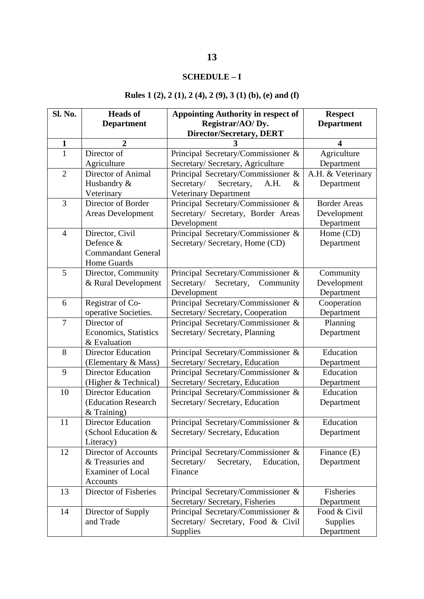# **SCHEDULE – I**

#### **Rules 1 (2), 2 (1), 2 (4), 2 (9), 3 (1) (b), (e) and (f)**

| Sl. No.        | <b>Heads of</b>           | <b>Appointing Authority in respect of</b> | <b>Respect</b>      |
|----------------|---------------------------|-------------------------------------------|---------------------|
|                | <b>Department</b>         | Registrar/AO/Dy.                          | <b>Department</b>   |
|                |                           | <b>Director/Secretary, DERT</b>           |                     |
| $\mathbf{1}$   | 2                         | 3                                         | 4                   |
| $\mathbf{1}$   | Director of               | Principal Secretary/Commissioner &        | Agriculture         |
|                | Agriculture               | Secretary/ Secretary, Agriculture         | Department          |
| $\overline{2}$ | Director of Animal        | Principal Secretary/Commissioner &        | A.H. & Veterinary   |
|                | Husbandry &               | Secretary,<br>A.H.<br>Secretary/<br>$\&$  | Department          |
|                | Veterinary                | Veterinary Department                     |                     |
| 3              | Director of Border        | Principal Secretary/Commissioner &        | <b>Border Areas</b> |
|                | <b>Areas Development</b>  | Secretary/ Secretary, Border Areas        | Development         |
|                |                           | Development                               | Department          |
| $\overline{4}$ | Director, Civil           | Principal Secretary/Commissioner &        | Home (CD)           |
|                | Defence &                 | Secretary/ Secretary, Home (CD)           | Department          |
|                | <b>Commandant General</b> |                                           |                     |
|                | Home Guards               |                                           |                     |
| 5              | Director, Community       | Principal Secretary/Commissioner &        | Community           |
|                | & Rural Development       | Secretary/<br>Secretary,<br>Community     | Development         |
|                |                           | Development                               | Department          |
| 6              | Registrar of Co-          | Principal Secretary/Commissioner &        | Cooperation         |
|                | operative Societies.      | Secretary/ Secretary, Cooperation         | Department          |
| $\tau$         | Director of               | Principal Secretary/Commissioner &        | Planning            |
|                | Economics, Statistics     | Secretary/ Secretary, Planning            | Department          |
|                | & Evaluation              |                                           |                     |
| 8              | <b>Director Education</b> | Principal Secretary/Commissioner &        | Education           |
|                | (Elementary & Mass)       | Secretary/ Secretary, Education           | Department          |
| 9              | <b>Director Education</b> | Principal Secretary/Commissioner &        | Education           |
|                | (Higher & Technical)      | Secretary/ Secretary, Education           | Department          |
| 10             | <b>Director Education</b> | Principal Secretary/Commissioner &        | Education           |
|                | (Education Research       | Secretary/ Secretary, Education           | Department          |
|                | & Training)               |                                           |                     |
| 11             | Director Education        | Principal Secretary/Commissioner &        | Education           |
|                | (School Education &       | Secretary/ Secretary, Education           | Department          |
|                | Literacy)                 |                                           |                     |
| 12             | Director of Accounts      | Principal Secretary/Commissioner &        | Finance (E)         |
|                | & Treasuries and          | Secretary/<br>Education,<br>Secretary,    | Department          |
|                | <b>Examiner of Local</b>  | Finance                                   |                     |
|                | Accounts                  |                                           |                     |
| 13             | Director of Fisheries     | Principal Secretary/Commissioner &        | Fisheries           |
|                |                           | Secretary/ Secretary, Fisheries           | Department          |
| 14             | Director of Supply        | Principal Secretary/Commissioner &        | Food & Civil        |
|                | and Trade                 | Secretary/ Secretary, Food & Civil        | Supplies            |
|                |                           | Supplies                                  | Department          |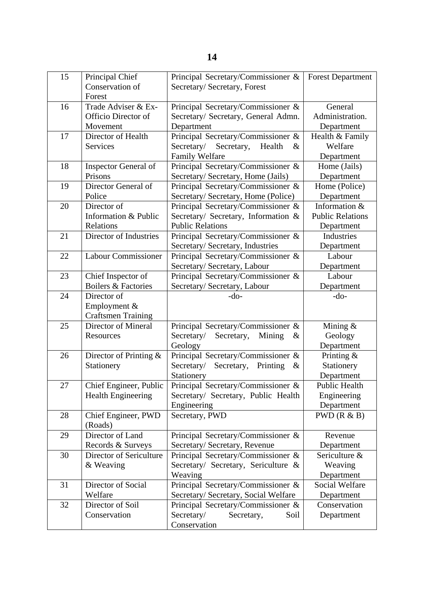| 15 | Principal Chief                                  | Principal Secretary/Commissioner &                 | <b>Forest Department</b> |
|----|--------------------------------------------------|----------------------------------------------------|--------------------------|
|    | Conservation of                                  | Secretary/ Secretary, Forest                       |                          |
|    | Forest                                           |                                                    |                          |
| 16 | Trade Adviser & Ex-                              | Principal Secretary/Commissioner &                 | General                  |
|    | Officio Director of                              | Secretary/ Secretary, General Admn.                | Administration.          |
|    | Movement                                         | Department                                         | Department               |
| 17 | Director of Health                               | Principal Secretary/Commissioner &                 | Health & Family          |
|    | Services                                         | Secretary,<br>Secretary/<br>Health<br>&            | Welfare                  |
|    |                                                  | <b>Family Welfare</b>                              | Department               |
| 18 | <b>Inspector General of</b>                      | Principal Secretary/Commissioner &                 | Home (Jails)             |
|    | Prisons                                          | Secretary/ Secretary, Home (Jails)                 | Department               |
| 19 | Director General of                              | Principal Secretary/Commissioner &                 | Home (Police)            |
|    | Police                                           | Secretary/ Secretary, Home (Police)                | Department               |
| 20 | Director of                                      | Principal Secretary/Commissioner &                 | Information &            |
|    | Information & Public                             | Secretary/ Secretary, Information &                | <b>Public Relations</b>  |
|    | Relations                                        | <b>Public Relations</b>                            | Department               |
| 21 | Director of Industries                           | Principal Secretary/Commissioner &                 | Industries               |
|    |                                                  | Secretary/ Secretary, Industries                   | Department               |
| 22 | <b>Labour Commissioner</b>                       | Principal Secretary/Commissioner &                 | Labour                   |
|    |                                                  | Secretary/Secretary, Labour                        | Department               |
| 23 | Chief Inspector of                               | Principal Secretary/Commissioner &                 | Labour                   |
|    | <b>Boilers &amp; Factories</b>                   | Secretary/ Secretary, Labour                       | Department               |
| 24 | Director of                                      | -do-                                               | -do-                     |
|    | Employment &                                     |                                                    |                          |
| 25 | <b>Craftsmen Training</b><br>Director of Mineral |                                                    |                          |
|    |                                                  | Principal Secretary/Commissioner &                 | Mining $&$               |
|    | Resources                                        | Secretary/<br>Mining<br>Secretary,<br>&<br>Geology | Geology<br>Department    |
| 26 | Director of Printing $\&$                        | Principal Secretary/Commissioner &                 | Printing $\&$            |
|    | Stationery                                       | Secretary/<br>Secretary, Printing<br>$\&$          | Stationery               |
|    |                                                  | Stationery                                         | Department               |
| 27 | Chief Engineer, Public                           | Principal Secretary/Commissioner &                 | <b>Public Health</b>     |
|    | <b>Health Engineering</b>                        | Secretary/ Secretary, Public Health                | Engineering              |
|    |                                                  | Engineering                                        | Department               |
| 28 | Chief Engineer, PWD                              | Secretary, PWD                                     | PWD (R & B)              |
|    | (Roads)                                          |                                                    |                          |
| 29 | Director of Land                                 | Principal Secretary/Commissioner &                 | Revenue                  |
|    | Records & Surveys                                | Secretary/ Secretary, Revenue                      | Department               |
| 30 | Director of Sericulture                          | Principal Secretary/Commissioner &                 | Sericulture &            |
|    | & Weaving                                        | Secretary/ Secretary, Sericulture &                | Weaving                  |
|    |                                                  | Weaving                                            | Department               |
| 31 | Director of Social                               | Principal Secretary/Commissioner &                 | <b>Social Welfare</b>    |
|    | Welfare                                          | Secretary/ Secretary, Social Welfare               | Department               |
| 32 | Director of Soil                                 | Principal Secretary/Commissioner &                 | Conservation             |
|    | Conservation                                     | Secretary/<br>Secretary,<br>Soil                   | Department               |
|    |                                                  | Conservation                                       |                          |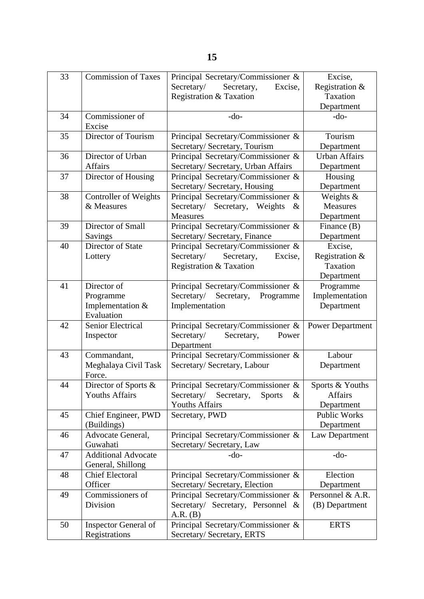| 33 | <b>Commission of Taxes</b>  | Principal Secretary/Commissioner &             | Excise,                 |
|----|-----------------------------|------------------------------------------------|-------------------------|
|    |                             | Secretary,<br>Secretary/<br>Excise,            | Registration &          |
|    |                             | Registration & Taxation                        | Taxation                |
|    |                             |                                                | Department              |
| 34 | Commissioner of<br>Excise   | $-do-$                                         | $-do-$                  |
| 35 | Director of Tourism         | Principal Secretary/Commissioner &             | Tourism                 |
|    |                             | Secretary/ Secretary, Tourism                  | Department              |
| 36 | Director of Urban           | Principal Secretary/Commissioner &             | <b>Urban Affairs</b>    |
|    | <b>Affairs</b>              | Secretary/ Secretary, Urban Affairs            | Department              |
| 37 | Director of Housing         | Principal Secretary/Commissioner &             | Housing                 |
|    |                             | Secretary/ Secretary, Housing                  | Department              |
| 38 | Controller of Weights       | Principal Secretary/Commissioner &             | Weights $&$             |
|    | & Measures                  | Secretary/ Secretary, Weights<br>&             | Measures                |
|    |                             | <b>Measures</b>                                | Department              |
| 39 | Director of Small           | Principal Secretary/Commissioner &             | Finance $(B)$           |
|    | Savings                     | Secretary/ Secretary, Finance                  | Department              |
| 40 | Director of State           | Principal Secretary/Commissioner &             | Excise,                 |
|    | Lottery                     | Secretary/<br>Secretary,<br>Excise,            | Registration &          |
|    |                             | Registration & Taxation                        | Taxation                |
|    |                             |                                                | Department              |
| 41 | Director of                 | Principal Secretary/Commissioner &             | Programme               |
|    | Programme                   | Secretary/ Secretary,<br>Programme             | Implementation          |
|    | Implementation &            | Implementation                                 | Department              |
|    | Evaluation                  |                                                |                         |
| 42 | <b>Senior Electrical</b>    | Principal Secretary/Commissioner &             | <b>Power Department</b> |
|    | Inspector                   | Secretary,<br>Secretary/<br>Power              |                         |
|    |                             | Department                                     |                         |
| 43 | Commandant,                 | Principal Secretary/Commissioner &             | Labour                  |
|    | Meghalaya Civil Task        | Secretary/ Secretary, Labour                   | Department              |
|    | Force.                      |                                                |                         |
| 44 | Director of Sports &        | Principal Secretary/Commissioner &             | Sports & Youths         |
|    | <b>Youths Affairs</b>       | Secretary/ Secretary,<br><b>Sports</b><br>$\&$ | <b>Affairs</b>          |
|    |                             | <b>Youths Affairs</b>                          | Department              |
| 45 | Chief Engineer, PWD         | Secretary, PWD                                 | Public Works            |
|    | (Buildings)                 |                                                | Department              |
| 46 | Advocate General,           | Principal Secretary/Commissioner &             | Law Department          |
|    | Guwahati                    | Secretary/Secretary, Law                       |                         |
| 47 | <b>Additional Advocate</b>  | -do-                                           | $-do-$                  |
|    | General, Shillong           |                                                |                         |
| 48 | <b>Chief Electoral</b>      | Principal Secretary/Commissioner &             | Election                |
|    | Officer                     | Secretary/Secretary, Election                  | Department              |
| 49 | Commissioners of            | Principal Secretary/Commissioner &             | Personnel & A.R.        |
|    | Division                    | Secretary/ Secretary, Personnel &              | (B) Department          |
|    |                             | $A.R.$ $(B)$                                   |                         |
| 50 | <b>Inspector General of</b> | Principal Secretary/Commissioner &             | <b>ERTS</b>             |
|    | Registrations               | Secretary/Secretary, ERTS                      |                         |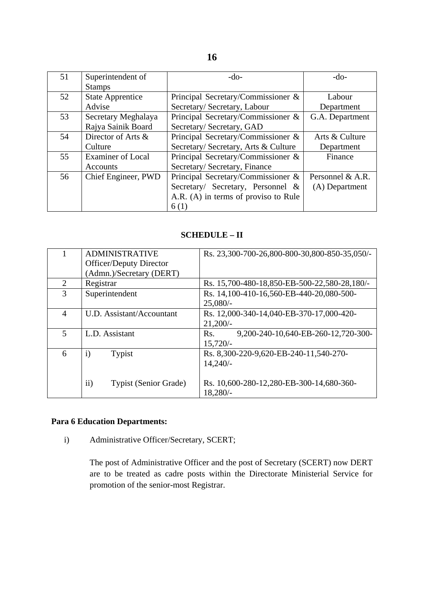| 51 | Superintendent of        | $-do-$                               | $-do-$           |
|----|--------------------------|--------------------------------------|------------------|
|    | <b>Stamps</b>            |                                      |                  |
| 52 | <b>State Apprentice</b>  | Principal Secretary/Commissioner &   | Labour           |
|    | Advise                   | Secretary/Secretary, Labour          | Department       |
| 53 | Secretary Meghalaya      | Principal Secretary/Commissioner &   | G.A. Department  |
|    | Rajya Sainik Board       | Secretary/Secretary, GAD             |                  |
| 54 | Director of Arts &       | Principal Secretary/Commissioner &   | Arts & Culture   |
|    | Culture                  | Secretary/Secretary, Arts & Culture  | Department       |
| 55 | <b>Examiner of Local</b> | Principal Secretary/Commissioner &   | Finance          |
|    | Accounts                 | Secretary/ Secretary, Finance        |                  |
| 56 | Chief Engineer, PWD      | Principal Secretary/Commissioner &   | Personnel & A.R. |
|    |                          | Secretary/ Secretary, Personnel &    | (A) Department   |
|    |                          | A.R. (A) in terms of proviso to Rule |                  |
|    |                          | 6(1)                                 |                  |

# **SCHEDULE – II**

|                | <b>ADMINISTRATIVE</b>                         | Rs. 23,300-700-26,800-800-30,800-850-35,050/- |
|----------------|-----------------------------------------------|-----------------------------------------------|
|                | <b>Officer/Deputy Director</b>                |                                               |
|                | (Admn.)/Secretary (DERT)                      |                                               |
| 2              | Registrar                                     | Rs. 15,700-480-18,850-EB-500-22,580-28,180/-  |
| 3              | Superintendent                                | Rs. 14,100-410-16,560-EB-440-20,080-500-      |
|                |                                               | $25,080/-$                                    |
| $\overline{4}$ | U.D. Assistant/Accountant                     | Rs. 12,000-340-14,040-EB-370-17,000-420-      |
|                |                                               | $21,200/-$                                    |
| 5              | L.D. Assistant                                | 9,200-240-10,640-EB-260-12,720-300-<br>Rs.    |
|                |                                               | $15,720/-$                                    |
| 6              | $\mathbf{i}$<br>Typist                        | Rs. 8,300-220-9,620-EB-240-11,540-270-        |
|                |                                               | $14,240/-$                                    |
|                |                                               |                                               |
|                | $\mathbf{ii}$<br><b>Typist (Senior Grade)</b> | Rs. 10,600-280-12,280-EB-300-14,680-360-      |
|                |                                               | 18,280/-                                      |

# **Para 6 Education Departments:**

i) Administrative Officer/Secretary, SCERT;

The post of Administrative Officer and the post of Secretary (SCERT) now DERT are to be treated as cadre posts within the Directorate Ministerial Service for promotion of the senior-most Registrar.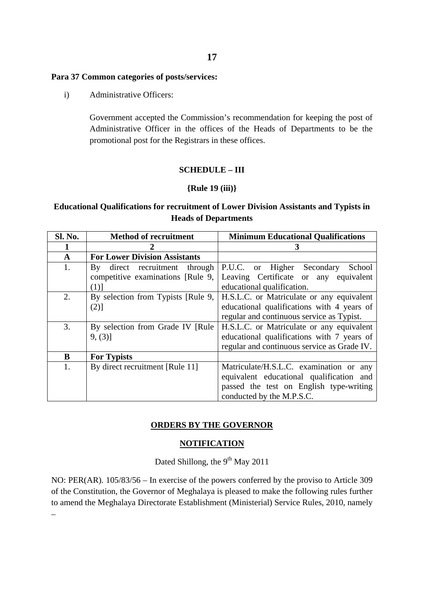# **Para 37 Common categories of posts/services:**

i) Administrative Officers:

 promotional post for the Registrars in these offices. Government accepted the Commission's recommendation for keeping the post of Administrative Officer in the offices of the Heads of Departments to be the

# **SCHEDULE – III**

# **{Rule 19 (iii)}**

# **Educational Qualifications for recruitment of Lower Division Assistants and Typists in Heads of Departments**

| <b>Sl. No.</b> | <b>Method of recruitment</b>         | <b>Minimum Educational Qualifications</b>   |
|----------------|--------------------------------------|---------------------------------------------|
|                |                                      |                                             |
| $\mathbf A$    | <b>For Lower Division Assistants</b> |                                             |
| 1.             | direct recruitment<br>By<br>through  | P.U.C. or Higher Secondary<br>School        |
|                | competitive examinations [Rule 9,    | Leaving Certificate or any equivalent       |
|                | $(1)$ ]                              | educational qualification.                  |
| 2.             | By selection from Typists [Rule 9,   | H.S.L.C. or Matriculate or any equivalent   |
|                | (2)]                                 | educational qualifications with 4 years of  |
|                |                                      | regular and continuous service as Typist.   |
| 3.             | By selection from Grade IV [Rule]    | H.S.L.C. or Matriculate or any equivalent   |
|                | $9, (3)$ ]                           | educational qualifications with 7 years of  |
|                |                                      | regular and continuous service as Grade IV. |
| B              | <b>For Typists</b>                   |                                             |
| 1.             | By direct recruitment [Rule 11]      | Matriculate/H.S.L.C. examination or any     |
|                |                                      | equivalent educational qualification and    |
|                |                                      | passed the test on English type-writing     |
|                |                                      | conducted by the M.P.S.C.                   |

# **ORDERS BY THE GOVERNOR**

# **NOTIFICATION**

Dated Shillong, the  $9<sup>th</sup>$  May 2011

 NO: PER(AR). 105/83/56 – In exercise of the powers conferred by the proviso to Article 309 of the Constitution, the Governor of Meghalaya is pleased to make the following rules further to amend the Meghalaya Directorate Establishment (Ministerial) Service Rules, 2010, namely –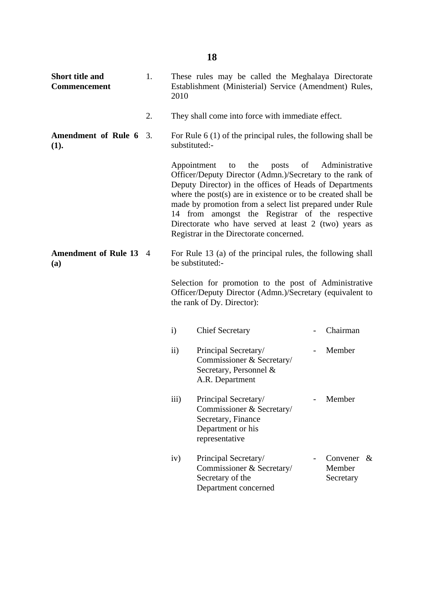| <b>Short title and</b><br><b>Commencement</b> | 1. | 2010          | These rules may be called the Meghalaya Directorate<br>Establishment (Ministerial) Service (Amendment) Rules,                                                                                                                                                                                                                                                                                                                                       |                                              |
|-----------------------------------------------|----|---------------|-----------------------------------------------------------------------------------------------------------------------------------------------------------------------------------------------------------------------------------------------------------------------------------------------------------------------------------------------------------------------------------------------------------------------------------------------------|----------------------------------------------|
|                                               | 2. |               | They shall come into force with immediate effect.                                                                                                                                                                                                                                                                                                                                                                                                   |                                              |
| Amendment of Rule 6 3.<br>(1).                |    | substituted:- | For Rule $6(1)$ of the principal rules, the following shall be                                                                                                                                                                                                                                                                                                                                                                                      |                                              |
|                                               |    |               | the<br>of<br>Appointment<br>posts<br>to<br>Officer/Deputy Director (Admn.)/Secretary to the rank of<br>Deputy Director) in the offices of Heads of Departments<br>where the $post(s)$ are in existence or to be created shall be<br>made by promotion from a select list prepared under Rule<br>14 from amongst the Registrar of the respective<br>Directorate who have served at least 2 (two) years as<br>Registrar in the Directorate concerned. | Administrative                               |
| <b>Amendment of Rule 13</b> 4<br>(a)          |    |               | For Rule 13 (a) of the principal rules, the following shall<br>be substituted:-                                                                                                                                                                                                                                                                                                                                                                     |                                              |
|                                               |    |               | Selection for promotion to the post of Administrative<br>Officer/Deputy Director (Admn.)/Secretary (equivalent to<br>the rank of Dy. Director):                                                                                                                                                                                                                                                                                                     |                                              |
|                                               |    | $\mathbf{i}$  | <b>Chief Secretary</b>                                                                                                                                                                                                                                                                                                                                                                                                                              | Chairman                                     |
|                                               |    | $\rm ii)$     | Principal Secretary/<br>Commissioner & Secretary/<br>Secretary, Personnel &<br>A.R. Department                                                                                                                                                                                                                                                                                                                                                      | Member                                       |
|                                               |    | iii)          | Principal Secretary/<br>Commissioner & Secretary/<br>Secretary, Finance<br>Department or his<br>representative                                                                                                                                                                                                                                                                                                                                      | Member                                       |
|                                               |    | iv)           | Principal Secretary/<br>Commissioner & Secretary/<br>Secretary of the<br>Department concerned                                                                                                                                                                                                                                                                                                                                                       | Convener<br>$\propto$<br>Member<br>Secretary |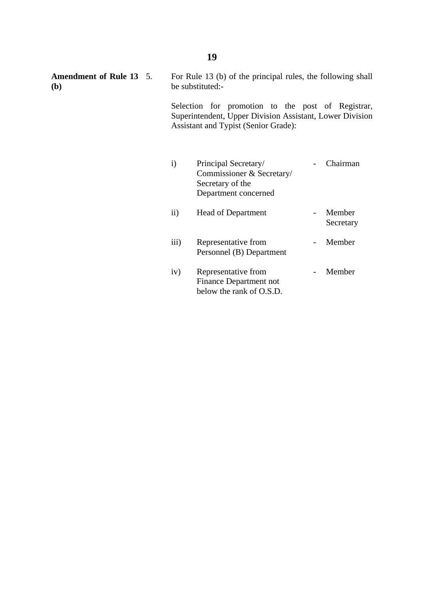Selection for promotion to the post of Registrar, Superintendent, Upper Division Assistant, Lower Division Assistant and Typist (Senior Grade):

| $\rm i)$  | Principal Secretary/<br>Commissioner & Secretary/<br>Secretary of the<br>Department concerned | Chairman            |
|-----------|-----------------------------------------------------------------------------------------------|---------------------|
| $\rm ii)$ | <b>Head of Department</b>                                                                     | Member<br>Secretary |
| iii)      | Representative from<br>Personnel (B) Department                                               | Member              |
| iv)       | Representative from<br>Finance Department not<br>below the rank of O.S.D.                     | Member              |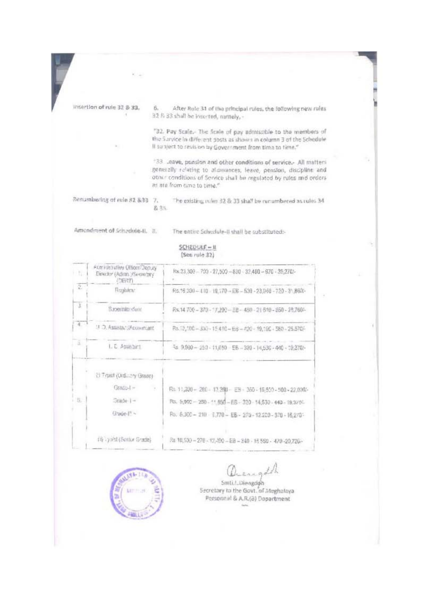insertion of rule 32 & 33.

 $\widehat{\mathbb{D}}_n$ After Rule 31 of the principal rules, the following new rules 32 h 33 shall be inserted, namely, -

"32. Pay Scale.- The Scale of pay admissible to the members of the Survice in different posts as shown in column 3 of the Schedule If so tiject to revision by Government from time to time."

"33 .eave, ponsion and other conditions of service.- All matters generally relating to allowances, leave, pension, discipline and other conditions of Service shall be regulated by rules and orders as are from time to time."

Renumbering of rule 32 &33 7.

The existing rules 32 & 33 shall be renumbered as rules 34 & 35.

Amondment of Schedule-II. 8.

The entire Schedule-II shall be substituted:-

#### SCHEDULE-II (See rule 32)

| 医肾             | Attributed by Officer/Doputy<br>Director (Adran, /Sessebay<br><b>LOBRY!</b> | Rs.23,300 - 700 - 27,500 - 830 - 32,460 - 970 - 39,270 -       |
|----------------|-----------------------------------------------------------------------------|----------------------------------------------------------------|
| 壶              | Registrar.                                                                  | for 16 300 - 410 19:70 - EB - 530 - 23340 - 720 - 31,860 -     |
| $\overline{1}$ | Superinter duce                                                             | Fis.14 700 - 370 - '7:290 - EB - 450 - 21 610 - 550 - 28,760 - |
| Ŧ              | 11.D. Assista : Mozivinant                                                  | Rs. 12,100 - 330 - 15 410 - E6 - 420 - 19,190 - 589 - 25.570 - |
| Πã.            | L.C. Assistant                                                              | Fa 9,990 - 250 - 11,650 - EB - 320 - 14,530 - 440 - 19,370 -   |
|                | (3 Typist (Ordinary Grade)                                                  |                                                                |
|                | Grado-L-<br>$\alpha$                                                        | Rs 11,300 - 260 - 13,200 - EB - 360 - 16,550 - 500 - 22,000 -  |
| 五.             | $\Im$ ashed $\rightarrow$                                                   | Rs. 5,952 - 250 - 11,650 - EB - 320 - 14,530 - 440 - 19,370 -  |
|                | $(286e^{-17})$                                                              | Rs. 8.300 - 210 : 1,770 - EB - 270 - 12.200 - 370 - 16,270 -   |
|                | (4) cyared (Sonice Grade)                                                   | Rs 10,530 - 270 - 12,490 - EB - 340 - 15 550 - 470 - 20,720 -  |



ight

Smti./..Diengdoh Secretary to the Govt. of Meghalaya Personnal & A.R.(a) Dopartment **Septim**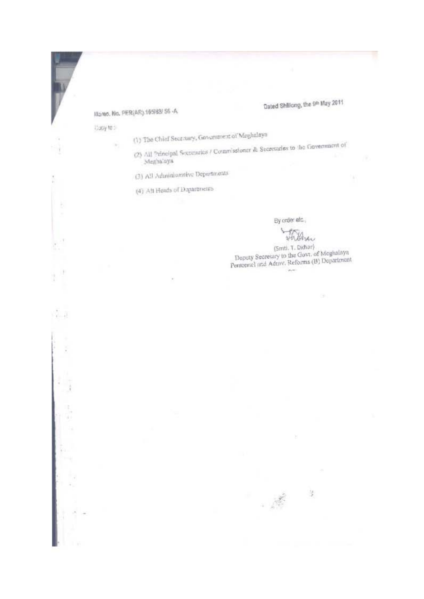|  | ř. |  |
|--|----|--|
|  |    |  |
|  |    |  |
|  |    |  |

B

N

J. ŧ

 $\tilde{l}$  .

# Mamo, No. PER(AR).165/83/ 56 -A

# Dated Shillong, the 9th May 2011

Capy to :-

 $\omega_1$ 

(1) The Chief Secretary, Government of Meghalays

(2) All Principal Secretaries / Conneissioner & Secretaries to the Government of Meghalaya

(3) All Adminiscrative Departments

(4) Alt Heads of Departments

By order etc.,

Fillm

(Smti, T. Dichar)<br>Deputy Secretary to the Govt, of Meghalaya<br>Personnel and Admy, Reforms (B) Department  $\sim$ 

3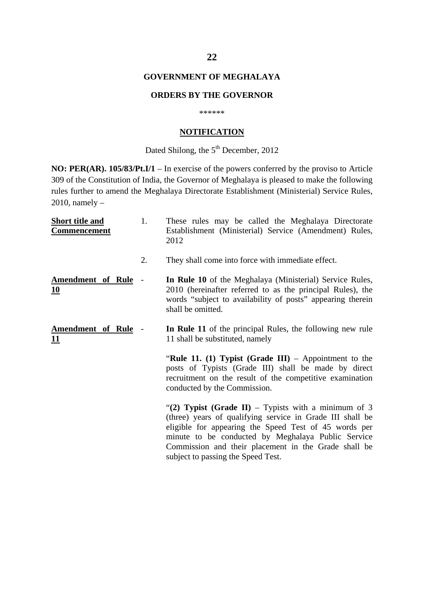# **22**

# **GOVERNMENT OF MEGHALAYA**

# **ORDERS BY THE GOVERNOR**

#### \*\*\*\*\*\*

# **NOTIFICATION**

Dated Shilong, the 5<sup>th</sup> December, 2012

 **NO: PER(AR). 105/83/Pt.I/1** – In exercise of the powers conferred by the proviso to Article 309 of the Constitution of India, the Governor of Meghalaya is pleased to make the following 2010, namely – rules further to amend the Meghalaya Directorate Establishment (Ministerial) Service Rules,

| <b>Short title and</b><br><b>Commencement</b> | 1.                       | These rules may be called the Meghalaya Directorate<br>Establishment (Ministerial) Service (Amendment) Rules,<br>2012                                                                                                                                                                                                          |
|-----------------------------------------------|--------------------------|--------------------------------------------------------------------------------------------------------------------------------------------------------------------------------------------------------------------------------------------------------------------------------------------------------------------------------|
|                                               | 2.                       | They shall come into force with immediate effect.                                                                                                                                                                                                                                                                              |
| <b>Amendment of Rule</b><br>10                | $\overline{\phantom{0}}$ | In Rule 10 of the Meghalaya (Ministerial) Service Rules,<br>2010 (hereinafter referred to as the principal Rules), the<br>words "subject to availability of posts" appearing therein<br>shall be omitted.                                                                                                                      |
| <b>Amendment of Rule -</b><br><u> 11</u>      |                          | In Rule 11 of the principal Rules, the following new rule<br>11 shall be substituted, namely                                                                                                                                                                                                                                   |
|                                               |                          | "Rule 11. (1) Typist (Grade III) – Appointment to the<br>posts of Typists (Grade III) shall be made by direct<br>recruitment on the result of the competitive examination<br>conducted by the Commission.                                                                                                                      |
|                                               |                          | "(2) Typist (Grade II) – Typists with a minimum of 3<br>(three) years of qualifying service in Grade III shall be<br>eligible for appearing the Speed Test of 45 words per<br>minute to be conducted by Meghalaya Public Service<br>Commission and their placement in the Grade shall be<br>subject to passing the Speed Test. |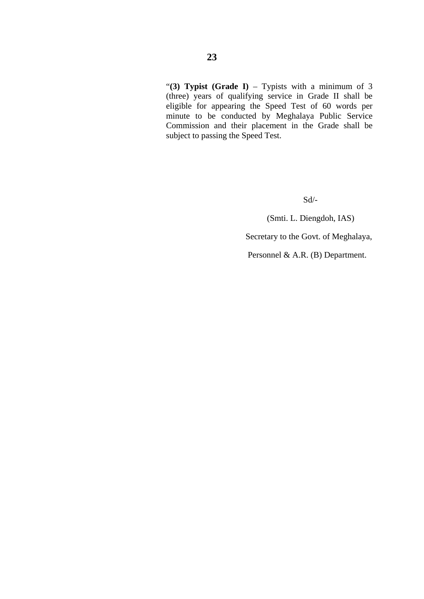"**(3) Typist (Grade I)** – Typists with a minimum of 3 (three) years of qualifying service in Grade II shall be eligible for appearing the Speed Test of 60 words per minute to be conducted by Meghalaya Public Service Commission and their placement in the Grade shall be subject to passing the Speed Test.

Sd/

(Smti. L. Diengdoh, IAS)

Secretary to the Govt. of Meghalaya,

Personnel & A.R. (B) Department.